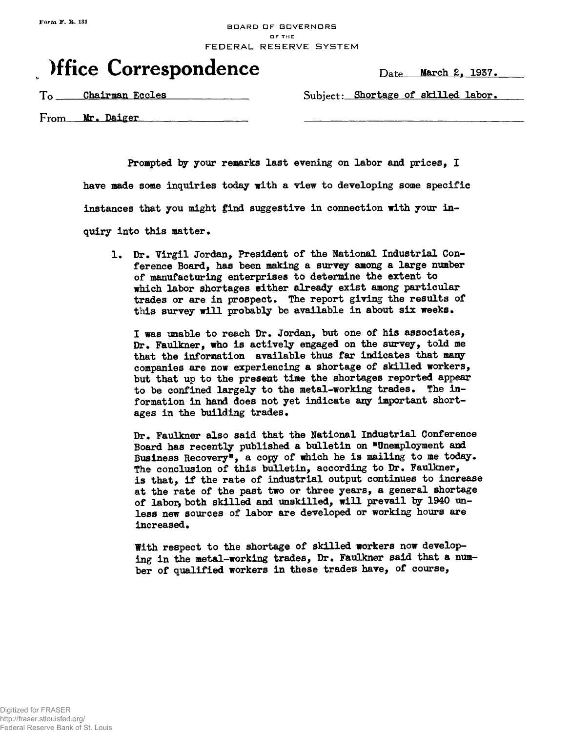## BDARD DF GDVERNDRS OF THE FEDERAL RESERVE SYSTEM

## **)ffice Correspondence** Date March 2, 1937.

To Chairman Eccles Subject: Shortage of skilled labor.

From Mr. Daiger

**Prompted by your remarks last evening on labor and prices, I have made some inquiries today with a view to developing some specific instances that you might find suggestive in connection with your inquiry into this matter•**

**1. Dr. Virgil Jordan, President of the National Industrial Conference Board, has been making a survey among a large number of manufacturing enterprises to determine the extent to** which labor shortages wither already exist among particular trades or are in prospect. The report giving the results of this survey will probably be available in about six weeks.

**I was unable to reach Dr. Jordan, but one of his associates, Dr. Faulkner, who is actively engaged on the survey, told me that the information available thus far indicates that many companies are now experiencing a shortage of skilled workers, but that up to the present time the shortages reported appear to be confined largely to the metal-working trades. The information in hand does not yet indicate any important shortages in the building trades.**

**Dr. Faulkner also said that the National Industrial Conference Board has recently published a bulletin on "Unemployment and** Business Recovery<sup>*n*</sup>, a copy of which he is mailing to me today. **The conclusion of this bulletin, according to Dr. Faulkner, is that, if the rate of industrial output continues to increase at the rate of the past two or three years, a general shortage of labor, both skilled and unskilled, will prevail by 1940 unless new sources of labor are developed or working hours are increased.**

**With respect to the shortage of skilled workers now developing in the metal-working trades, Dr. Faulkner said that a number of qualified workers in these trades have, of course,**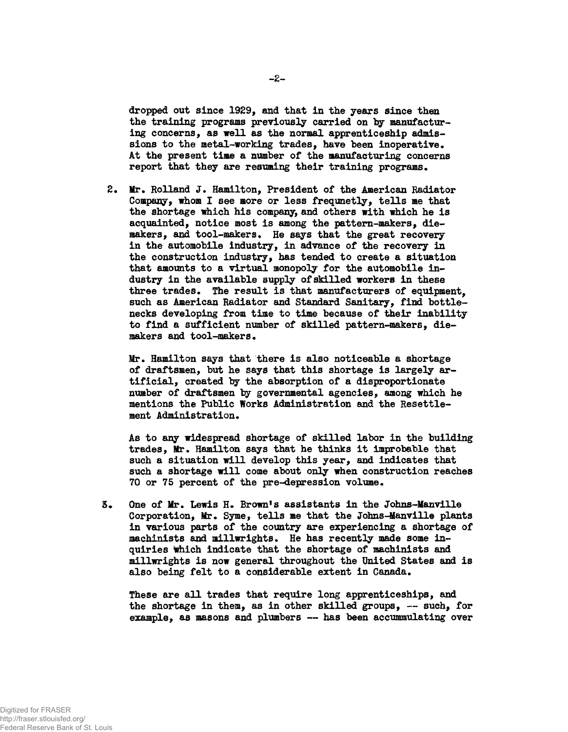**dropped out since 1929, and that in the years since then the training programs previously carried on by manufacturing concerns, as well as the normal apprenticeship admissions to the metal-working trades, have been inoperative. At the present time a number of the manufacturing concerns** report that they are resuming their training programs.

**2. Mr. Rolland J. Hamilton, President of the American Radiator Company, whom I see more or less frequnetly, tells me that the shortage which his company, and others with which he is acquainted, notice most is among the pattern-makers, die**makers, and tool-makers. He says that the great recovery **in the automobile industry, in advance of the recovery in the construction industry, has tended to create a situation that amounts to a virtual monopoly for the automobile industry in the available supply of skilled workers in these three trades. The result is that manufacturers of equipment, such as American Radiator and Standard Sanitary, find bottlenecks developing from time to time because of their inability to find a sufficient number of skilled pattern-makers, die**makers and tool-makers.

**Mr. Hamilton says that there is also noticeable a shortage of draftsmen, but he says that this shortage is largely artificial, created by the absorption of a disproportionate number of draftsmen by governmental agencies, among which he mentions the Public Works Administration and the Resettlement Administration.** 

**As to any widespread shortage of skilled labor in the building trades, Mr\* Hamilton says that he thinks it improbable that such a situation will develop this year, and indicates that such a shortage will come about only when construction reaches 70 or 75 percent of the pre-depression volume.**

**3\* One of Mr\* Lewis H. Brown's assistants in the Johns-Ifanville Corporation, Mr. Syme, tells me that the Johns-Manville plants in various parts of the country are experiencing a shortage of machinists and millwrights. He has recently made some inquiries tohich indicate that the shortage of machinists and millwrights is now general throughout the United States and is also being felt to a considerable extent in Canada.**

**These are all trades that require long apprenticeships, and the shortage in them, as in other skilled groups, — such, for example, as masons and plumbers — has been accummulating over**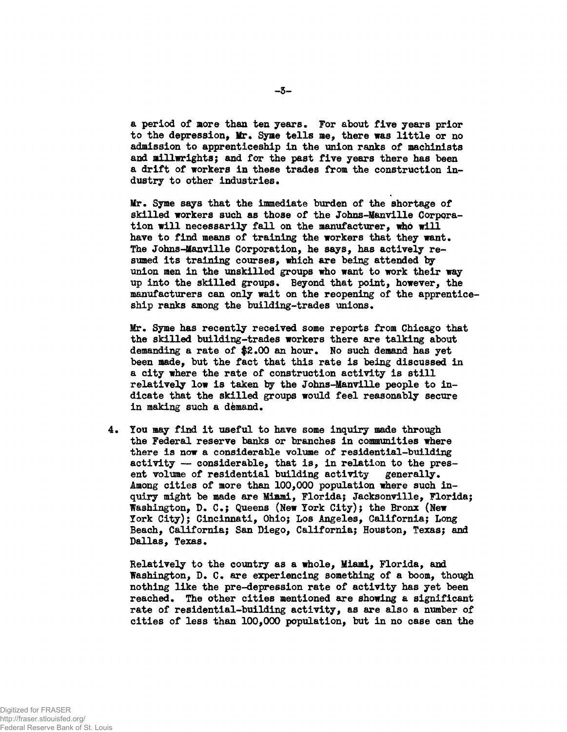**a period of more than ten years\* For about five years prior to the depression, Mr, Syme tells me, there was little or no admission to apprenticeship in the union ranks of machinists and millwrights; and for the past five years there has been a drift of workers in these trades from the construction in**dustry to other industries.

Mr. Syme says that the immediate burden of the shortage of **skilled workers such as those of the Johns-Manville Corporation will necessarily fall on the manufacturer, mho will** have to find means of training the workers that they want. **The Johns-Manville Corporation, he says, has actively resumed its training courses, which are being attended by union men in the unskilled groups who want to work their way up into the skilled groups • Beyond that point, however, the manufacturers can only wait on the reopening of the apprenticeship ranks among the building-trades unions.**

**M£r« Syme has recently received some reports from Chicago that the skilled building-trades workers there are talking about** demanding a rate of \$2.00 an hour. No such demand has yet **been made, but the fact that this rate is being discussed in a city where the rate of construction activity is still relatively low is taken by the Johns-Manville people to indicate that the skilled groups would feel reasonably secure** in making such a demand.

**4\* You may find it useful to have some inquiry made through the Federal reserve banks or branches in communities where there is now a considerable volume of residential-building activity — considerable, that is, in relation to the pres**ent volume of residential building activity generally. **Among cities of more than 100,000 population where such inquiry might be made are Miami, Florida; Jacksonville, Florida; Washington, D. C ; Queens (New York City); the Bronx (New York City); Cincinnati, Ohio; Los Angeles, California; Long Beach, California; San Diego, California; Houston, Texas; and** Dallas, Texas.

**Relatively to the country as a whole, Miami, Florida, and Washington, D. C\* are experiencing something of a boom, though nothing like the pre-depression rate of activity has yet been reached\* The other cities mentioned are showing a significant rate of residential-building activity, as are also a number of cities of less than 100,000 population, but in no case can the**